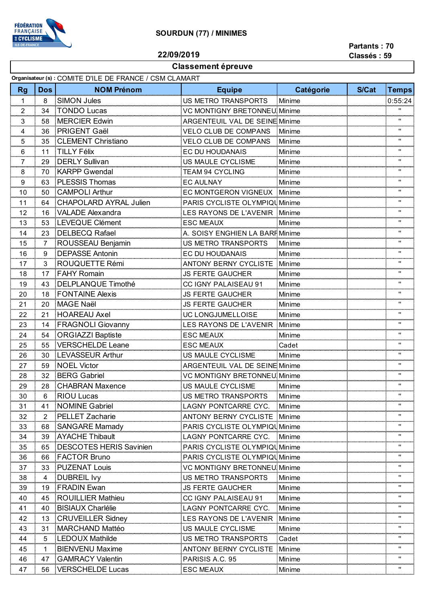

## **SOURDUN (77) / MINIMES**

**22/09/2019**

## **Partants : 70 Classés : 59**

**Classement épreuve**

| Organisateur (s) : COMITE D'ILE DE FRANCE / CSM CLAMART |          |                                |                                       |        |       |                     |  |  |
|---------------------------------------------------------|----------|--------------------------------|---------------------------------------|--------|-------|---------------------|--|--|
| <b>Rg</b>                                               | Dos      | <b>NOM Prénom</b>              | <b>Equipe</b><br>Catégorie            |        | S/Cat | Temps               |  |  |
| 1                                                       | 8        | <b>SIMON Jules</b>             | US METRO TRANSPORTS                   | Minime |       | 0:55:24             |  |  |
| $\overline{2}$<br>سيسب                                  | 34       | <b>TONDO Lucas</b>             | VC MONTIGNY BRETONNEU Minime          |        |       |                     |  |  |
| 3                                                       | 58       | <b>MERCIER Edwin</b>           | <b>ARGENTEUIL VAL DE SEINE Minime</b> |        |       | π                   |  |  |
| 4                                                       | 36       | PRIGENT Gaël                   | <b>VELO CLUB DE COMPANS</b><br>Minime |        |       | π                   |  |  |
| 5<br>                                                   | 35       | <b>CLEMENT Christiano</b>      | VELO CLUB DE COMPANS<br>Minime        |        |       | $^{\rm{II}}$        |  |  |
| 6                                                       | 11       | <b>TILLY Félix</b>             | <b>EC DU HOUDANAIS</b><br>Minime      |        |       | <b>ALCOHOL</b><br>π |  |  |
| 7                                                       | 29       | <b>DERLY Sullivan</b>          | US MAULE CYCLISME<br>Minime           |        |       | $\pmb{\mathsf{H}}$  |  |  |
| anana a<br>8                                            | 70       | <b>KARPP Gwendal</b>           | TEAM 94 CYCLING<br>Minime             |        |       | ш                   |  |  |
| 9                                                       | 63       | <b>PLESSIS Thomas</b>          | <b>EC AULNAY</b><br>Minime            |        |       | $\pmb{\mathsf{H}}$  |  |  |
| 10                                                      | 50       | <b>CAMPOLI Arthur</b>          | <b>EC MONTGERON VIGNEUX</b> Minime    |        |       | π                   |  |  |
| 11                                                      | 64       | <b>CHAPOLARD AYRAL Julien</b>  | PARIS CYCLISTE OLYMPIQU Minime        |        |       | $\pmb{\mathsf{H}}$  |  |  |
| 12                                                      | 16       | VALADE Alexandra               | LES RAYONS DE L'AVENIR Minime         |        |       | $\pmb{\mathsf{H}}$  |  |  |
| 13                                                      | 53       | <b>LEVEQUE Clément</b>         | <b>ESC MEAUX</b>                      | Minime |       | $^{\rm{II}}$        |  |  |
| 14                                                      | 23       | <b>DELBECQ Rafael</b>          | A. SOISY ENGHIEN LA BARF Minime       |        |       | π                   |  |  |
| 15                                                      | 7        | ROUSSEAU Benjamin              | US METRO TRANSPORTS                   | Minime |       | $\pmb{\mathsf{H}}$  |  |  |
| 16                                                      | 9        | <b>DEPASSE Antonin</b>         | EC DU HOUDANAIS                       | Minime |       | n mana<br>π         |  |  |
| 17                                                      | 3        | ROUQUETTE Rémi                 | <b>ANTONY BERNY CYCLISTE Minime</b>   |        |       | $\blacksquare$      |  |  |
| 18                                                      | 17       | <b>FAHY Romain</b>             | JS FERTE GAUCHER                      | Minime |       | للمتحملة<br>ш       |  |  |
| 19                                                      | 43       | DELPLANQUE Timothé             | <b>CC IGNY PALAISEAU 91</b>           | Minime |       | $\pmb{\mathsf{H}}$  |  |  |
| 20                                                      | 18       | <b>FONTAINE Alexis</b>         | <b>JS FERTE GAUCHER</b>               | Minime |       | $\pmb{\mathsf{H}}$  |  |  |
| 21                                                      | 20       | <b>MAGE Naël</b>               | <b>JS FERTE GAUCHER</b>               | Minime |       | π.                  |  |  |
| 22                                                      | 21       | <b>HOAREAU Axel</b>            | UC LONGJUMELLOISE                     | Minime |       | $\pmb{\mathsf{H}}$  |  |  |
| 23                                                      | 14       | <b>FRAGNOLI Giovanny</b>       | LES RAYONS DE L'AVENIR                | Minime |       | $\pmb{\mathsf{H}}$  |  |  |
| 24                                                      | 54       | <b>ORGIAZZI Baptiste</b>       | <b>ESC MEAUX</b>                      | Minime |       | $\pmb{\mathsf{H}}$  |  |  |
| 25                                                      | 55       | <b>VERSCHELDE Leane</b>        | <b>ESC MEAUX</b>                      | Cadet  |       | $\pmb{\mathsf{H}}$  |  |  |
| 26                                                      | 30       | <b>LEVASSEUR Arthur</b>        | US MAULE CYCLISME                     | Minime |       | ш                   |  |  |
| 27                                                      | 59       | <b>NOEL Victor</b>             | ARGENTEUIL VAL DE SEINE Minime        |        |       | $\pmb{\mathsf{u}}$  |  |  |
| 28                                                      | 32       | <b>BERG Gabriel</b>            | <b>VC MONTIGNY BRETONNEU Minime</b>   |        |       | $\pmb{\mathsf{H}}$  |  |  |
| 29                                                      | 28       | <b>CHABRAN Maxence</b>         | US MAULE CYCLISME                     | Minime |       |                     |  |  |
| 30                                                      | 6        | RIOU Lucas                     | US METRO TRANSPORTS                   | Minime |       | $\pmb{\mathsf{H}}$  |  |  |
| 31                                                      | 41       | <b>NOMINE Gabriel</b>          | LAGNY PONTCARRE CYC.                  | Minime |       | "                   |  |  |
| 32                                                      | 2        | <b>PELLET Zacharie</b>         | <b>ANTONY BERNY CYCLISTE Minime</b>   |        |       | п                   |  |  |
| 33                                                      | 68       | <b>SANGARE Mamady</b>          | PARIS CYCLISTE OLYMPIQU Minime        |        |       | п                   |  |  |
| 34                                                      | 39       | <b>AYACHE Thibault</b>         | LAGNY PONTCARRE CYC.                  | Minime |       | "                   |  |  |
| 35                                                      | 65       | <b>DESCOTES HERIS Savinien</b> | PARIS CYCLISTE OLYMPIQU Minime        |        |       | "                   |  |  |
| 36                                                      | 66       | <b>FACTOR Bruno</b>            | PARIS CYCLISTE OLYMPIQU Minime        |        |       | $\pmb{\mathsf{H}}$  |  |  |
| 37                                                      | 33       | <b>PUZENAT Louis</b>           | VC MONTIGNY BRETONNEU. Minime         |        |       |                     |  |  |
| 38                                                      | 4        | <b>DUBREIL Ivy</b>             | US METRO TRANSPORTS                   | Minime |       | $\pmb{\mathsf{H}}$  |  |  |
| 39                                                      | 19       | <b>FRADIN Ewan</b>             | JS FERTE GAUCHER                      | Minime |       | "                   |  |  |
| 40                                                      | 45       | <b>ROUILLIER Mathieu</b>       | CC IGNY PALAISEAU 91                  | Minime |       | $\pmb{\mathsf{H}}$  |  |  |
| 41                                                      | 40       | <b>BISIAUX Charlélie</b>       | LAGNY PONTCARRE CYC.                  | Minime |       | π                   |  |  |
| 42                                                      |          | <b>CRUVEILLER Sidney</b>       | LES RAYONS DE L'AVENIR                | Minime |       | $\pmb{\mathsf{H}}$  |  |  |
| 43                                                      | 13<br>31 | MARCHAND Mattéo                |                                       |        |       | "                   |  |  |
|                                                         |          |                                | US MAULE CYCLISME                     | Minime |       | $\pmb{\mathsf{u}}$  |  |  |
| 44                                                      | 5        | <b>LEDOUX Mathilde</b>         | US METRO TRANSPORTS                   | Cadet  |       | π                   |  |  |
| 45                                                      | 1        | <b>BIENVENU Maxime</b>         | ANTONY BERNY CYCLISTE                 | Minime |       | $\pmb{\mathsf{H}}$  |  |  |
| 46                                                      | 47       | <b>GAMRACY Valentin</b>        | PARISIS A.C. 95                       | Minime |       |                     |  |  |
| 47                                                      | 56       | <b>VERSCHELDE Lucas</b>        | <b>ESC MEAUX</b>                      | Minime |       |                     |  |  |